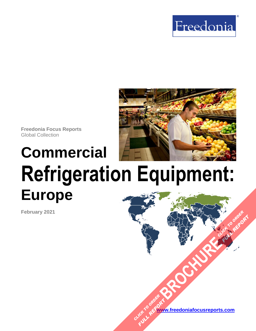



**Freedonia Focus Reports** Global Collection

# **Commercial Refrigeration Equipment: Europe**

**February 2021**

**[www.freedoniafocusreports.com](https://www.freedoniafocusreports.com/redirect.asp?progid=89534&url=/)** CLICK TO ORDER **FULL REPORT** 

**[BROCHURE](https://www.freedoniafocusreports.com/Commercial-Refrigeration-Equipment-Europe-FE75012/?progid=89541) CLICK TO ORDER** 

**FULL REPORT**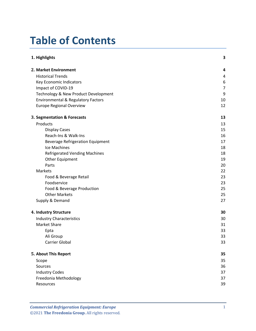# **Table of Contents**

| 1. Highlights                                 | 3  |
|-----------------------------------------------|----|
| 2. Market Environment                         | 4  |
| <b>Historical Trends</b>                      | 4  |
| Key Economic Indicators                       | 6  |
| Impact of COVID-19                            | 7  |
| Technology & New Product Development          | 9  |
| <b>Environmental &amp; Regulatory Factors</b> | 10 |
| <b>Europe Regional Overview</b>               | 12 |
| 3. Segmentation & Forecasts                   | 13 |
| Products                                      | 13 |
| <b>Display Cases</b>                          | 15 |
| Reach-Ins & Walk-Ins                          | 16 |
| <b>Beverage Refrigeration Equipment</b>       | 17 |
| Ice Machines                                  | 18 |
| <b>Refrigerated Vending Machines</b>          | 18 |
| Other Equipment                               | 19 |
| Parts                                         | 20 |
| Markets                                       | 22 |
| Food & Beverage Retail                        | 23 |
| Foodservice                                   | 23 |
| Food & Beverage Production                    | 25 |
| <b>Other Markets</b>                          | 25 |
| Supply & Demand                               | 27 |
| 4. Industry Structure                         | 30 |
| <b>Industry Characteristics</b>               | 30 |
| <b>Market Share</b>                           | 31 |
| Epta                                          | 33 |
| Ali Group                                     | 33 |
| Carrier Global                                | 33 |
| 5. About This Report                          | 35 |
| Scope                                         | 35 |
| Sources                                       | 36 |
| <b>Industry Codes</b>                         | 37 |
| Freedonia Methodology                         | 37 |
| Resources                                     | 39 |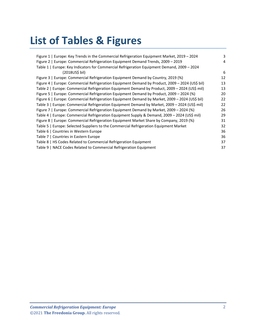# **List of Tables & Figures**

| Figure 1   Europe: Key Trends in the Commercial Refrigeration Equipment Market, 2019 – 2024     | 3  |
|-------------------------------------------------------------------------------------------------|----|
| Figure 2   Europe: Commercial Refrigeration Equipment Demand Trends, 2009 – 2019                | 4  |
| Table 1   Europe: Key Indicators for Commercial Refrigeration Equipment Demand, 2009 – 2024     |    |
| $(2018US5)$ bil)                                                                                | 6  |
| Figure 3   Europe: Commercial Refrigeration Equipment Demand by Country, 2019 (%)               | 12 |
| Figure 4   Europe: Commercial Refrigeration Equipment Demand by Product, 2009 - 2024 (US\$ bil) | 13 |
| Table 2   Europe: Commercial Refrigeration Equipment Demand by Product, 2009 - 2024 (US\$ mil)  | 13 |
| Figure 5   Europe: Commercial Refrigeration Equipment Demand by Product, 2009 – 2024 (%)        | 20 |
| Figure 6   Europe: Commercial Refrigeration Equipment Demand by Market, 2009 - 2024 (US\$ bil)  | 22 |
| Table 3   Europe: Commercial Refrigeration Equipment Demand by Market, 2009 - 2024 (US\$ mil)   | 22 |
| Figure 7   Europe: Commercial Refrigeration Equipment Demand by Market, 2009 – 2024 (%)         | 26 |
| Table 4   Europe: Commercial Refrigeration Equipment Supply & Demand, 2009 - 2024 (US\$ mil)    | 29 |
| Figure 8   Europe: Commercial Refrigeration Equipment Market Share by Company, 2019 (%)         | 31 |
| Table 5   Europe: Selected Suppliers to the Commercial Refrigeration Equipment Market           | 32 |
| Table 6   Countries in Western Europe                                                           | 36 |
| Table 7   Countries in Eastern Europe                                                           | 36 |
| Table 8   HS Codes Related to Commercial Refrigeration Equipment                                | 37 |
| Table 9   NACE Codes Related to Commercial Refrigeration Equipment                              | 37 |
|                                                                                                 |    |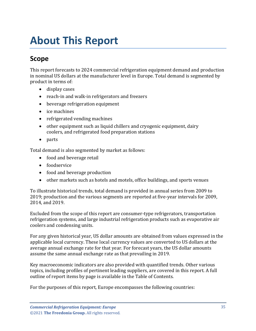## <span id="page-3-1"></span><span id="page-3-0"></span>**Scope**

This report forecasts to 2024 commercial refrigeration equipment demand and production in nominal US dollars at the manufacturer level in Europe. Total demand is segmented by product in terms of:

- display cases
- reach-in and walk-in refrigerators and freezers
- beverage refrigeration equipment
- ice machines
- refrigerated vending machines
- other equipment such as liquid chillers and cryogenic equipment, dairy coolers, and refrigerated food preparation stations
- parts

Total demand is also segmented by market as follows:

- food and beverage retail
- foodservice
- food and beverage production
- other markets such as hotels and motels, office buildings, and sports venues

To illustrate historical trends, total demand is provided in annual series from 2009 to 2019; production and the various segments are reported at five-year intervals for 2009, 2014, and 2019.

Excluded from the scope of this report are consumer-type refrigerators, transportation refrigeration systems, and large industrial refrigeration products such as evaporative air coolers and condensing units.

For any given historical year, US dollar amounts are obtained from values expressed in the applicable local currency. These local currency values are converted to US dollars at the average annual exchange rate for that year. For forecast years, the US dollar amounts assume the same annual exchange rate as that prevailing in 2019.

Key macroeconomic indicators are also provided with quantified trends. Other various topics, including profiles of pertinent leading suppliers, are covered in this report. A full outline of report items by page is available in the Table of Contents.

For the purposes of this report, Europe encompasses the following countries: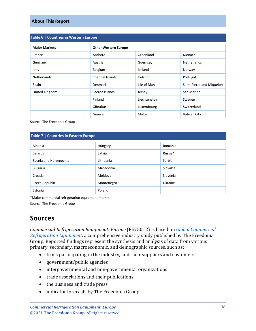<span id="page-4-1"></span>

| Table 6   Countries in Western Europe |                 |                             |                           |  |
|---------------------------------------|-----------------|-----------------------------|---------------------------|--|
| <b>Major Markets</b>                  |                 | <b>Other Western Europe</b> |                           |  |
| France                                | Andorra         | Greenland                   | Monaco                    |  |
| Germany                               | Austria         | Guernsey                    | <b>Netherlands</b>        |  |
| Italy                                 | Belgium         | Iceland                     | Norway                    |  |
| <b>Netherlands</b>                    | Channel Islands | Ireland                     | Portugal                  |  |
| Spain                                 | <b>Denmark</b>  | Isle of Man                 | Saint Pierre and Miquelon |  |
| United Kingdom                        | Faeroe Islands  | Jersey                      | San Marino                |  |
|                                       | Finland         | Liechtenstein               | Sweden                    |  |
|                                       | Gibraltar       | Luxembourg                  | Switzerland               |  |
|                                       | Greece          | Malta                       | Vatican City              |  |

Source: The Freedonia Group

#### <span id="page-4-2"></span>**Table 7 | Countries in Eastern Europe**

| Albania                | Hungary    | Romania  |
|------------------------|------------|----------|
| <b>Belarus</b>         | Latvia     | Russia*  |
| Bosnia and Herzegovina | Lithuania  | Serbia   |
| <b>Bulgaria</b>        | Macedonia  | Slovakia |
| Croatia                | Moldova    | Slovenia |
| Czech Republic         | Montenegro | Ukraine  |
| Estonia                | Poland     |          |

\*Major commercial refrigeration equipment market.

Source: The Freedonia Group

### <span id="page-4-0"></span>**Sources**

*Commercial Refrigeration Equipment: Europe* (FE75012) is based on *[Global Commercial](http://www.freedoniagroup.com/DocumentDetails.aspx?ReferrerId=FL-FOCUS&studyid=3967)  [Refrigeration Equipment,](http://www.freedoniagroup.com/DocumentDetails.aspx?ReferrerId=FL-FOCUS&studyid=3967)* a comprehensive industry study published by The Freedonia Group. Reported findings represent the synthesis and analysis of data from various primary, secondary, macroeconomic, and demographic sources, such as:

- firms participating in the industry, and their suppliers and customers
- government/public agencies
- intergovernmental and non-governmental organizations
- trade associations and their publications
- the business and trade press
- indicator forecasts by The Freedonia Group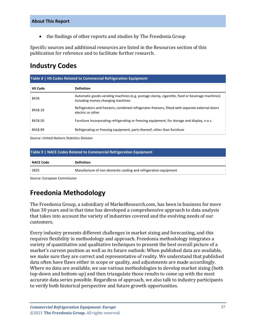• the findings of other reports and studies by The Freedonia Group

Specific sources and additional resources are listed in the Resources section of this publication for reference and to facilitate further research.

### <span id="page-5-0"></span>**Industry Codes**

<span id="page-5-2"></span>

| Table 8   HS Codes Related to Commercial Refrigeration Equipment |                                                                                                                                  |  |
|------------------------------------------------------------------|----------------------------------------------------------------------------------------------------------------------------------|--|
| <b>HS Code</b>                                                   | <b>Definition</b>                                                                                                                |  |
| 8476                                                             | Automatic goods-vending machines (e.g. postage stamp, cigarette, food or beverage machines)<br>including money-changing machines |  |
| 8418.10                                                          | Refrigerators and freezers; combined refrigerator-freezers, fitted with separate external doors<br>electric or other             |  |
| 8418.50                                                          | Furniture incorporating refrigerating or freezing equipment; for storage and display, n.e.c.                                     |  |
| 8418.99                                                          | Refrigerating or freezing equipment; parts thereof, other than furniture                                                         |  |

Source: United Nations Statistics Division

<span id="page-5-3"></span>

| Table 9   NACE Codes Related to Commercial Refrigeration Equipment |                                                                 |  |
|--------------------------------------------------------------------|-----------------------------------------------------------------|--|
| <b>NACE Code</b>                                                   | <b>Definition</b>                                               |  |
| 2825                                                               | Manufacture of non-domestic cooling and refrigeration equipment |  |

Source: European Commission

# <span id="page-5-1"></span>**Freedonia Methodology**

The Freedonia Group, a subsidiary of MarketResearch.com, has been in business for more than 30 years and in that time has developed a comprehensive approach to data analysis that takes into account the variety of industries covered and the evolving needs of our customers.

Every industry presents different challenges in market sizing and forecasting, and this requires flexibility in methodology and approach. Freedonia methodology integrates a variety of quantitative and qualitative techniques to present the best overall picture of a market's current position as well as its future outlook: When published data are available, we make sure they are correct and representative of reality. We understand that published data often have flaws either in scope or quality, and adjustments are made accordingly. Where no data are available, we use various methodologies to develop market sizing (both top-down and bottom-up) and then triangulate those results to come up with the most accurate data series possible. Regardless of approach, we also talk to industry participants to verify both historical perspective and future growth opportunities.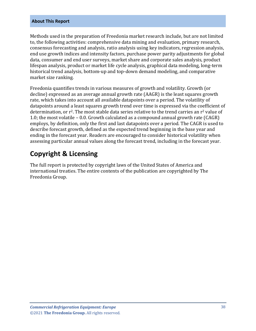Methods used in the preparation of Freedonia market research include, but are not limited to, the following activities: comprehensive data mining and evaluation, primary research, consensus forecasting and analysis, ratio analysis using key indicators, regression analysis, end use growth indices and intensity factors, purchase power parity adjustments for global data, consumer and end user surveys, market share and corporate sales analysis, product lifespan analysis, product or market life cycle analysis, graphical data modeling, long-term historical trend analysis, bottom-up and top-down demand modeling, and comparative market size ranking.

Freedonia quantifies trends in various measures of growth and volatility. Growth (or decline) expressed as an average annual growth rate (AAGR) is the least squares growth rate, which takes into account all available datapoints over a period. The volatility of datapoints around a least squares growth trend over time is expressed via the coefficient of determination, or  $r^2$ . The most stable data series relative to the trend carries an  $r^2$  value of 1.0; the most volatile – 0.0. Growth calculated as a compound annual growth rate (CAGR) employs, by definition, only the first and last datapoints over a period. The CAGR is used to describe forecast growth, defined as the expected trend beginning in the base year and ending in the forecast year. Readers are encouraged to consider historical volatility when assessing particular annual values along the forecast trend, including in the forecast year.

### **Copyright & Licensing**

The full report is protected by copyright laws of the United States of America and international treaties. The entire contents of the publication are copyrighted by The Freedonia Group.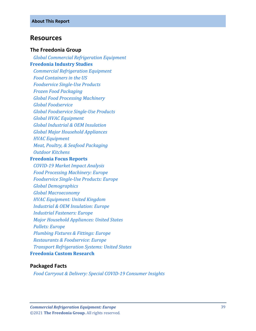#### <span id="page-7-0"></span>**Resources**

#### **The Freedonia Group**

 *[Global Commercial Refrigeration Equipment](http://www.freedoniagroup.com/DocumentDetails.aspx?ReferrerId=FL-FOCUS&studyid=3967)* **[Freedonia Industry Studies](http://www.freedoniagroup.com/Home.aspx?ReferrerId=FL-Focus)**  *[Commercial Refrigeration Equipment](https://www.freedoniagroup.com/DocumentDetails.aspx?ReferrerId=FL-FOCUS&StudyId=3831) [Food Containers in the US](https://www.freedoniagroup.com/DocumentDetails.aspx?ReferrerId=FL-FOCUS&StudyId=3609)*

 *[Foodservice Single-Use Products](https://www.freedoniagroup.com/DocumentDetails.aspx?ReferrerId=FL-FOCUS&StudyId=3774)*

 *[Frozen Food Packaging](https://www.freedoniagroup.com/DocumentDetails.aspx?ReferrerId=FL-FOCUS&StudyId=3966)*

 *[Global Food Processing Machinery](https://www.freedoniagroup.com/DocumentDetails.aspx?ReferrerId=FL-FOCUS&StudyId=3809)*

 *[Global Foodservice](https://www.freedoniagroup.com/DocumentDetails.aspx?ReferrerId=FL-FOCUS&StudyId=3817)*

 *[Global Foodservice Single-Use Products](https://www.freedoniagroup.com/DocumentDetails.aspx?ReferrerId=FL-FOCUS&StudyId=3829)*

 *[Global HVAC Equipment](https://www.freedoniagroup.com/DocumentDetails.aspx?ReferrerId=FL-FOCUS&StudyId=3652)*

 *[Global Industrial & OEM Insulation](https://www.freedoniagroup.com/DocumentDetails.aspx?ReferrerId=FL-FOCUS&StudyId=3783)*

 *[Global Major Household Appliances](https://www.freedoniagroup.com/DocumentDetails.aspx?ReferrerId=FL-FOCUS&StudyId=3739)*

 *[HVAC Equipment](https://www.freedoniagroup.com/DocumentDetails.aspx?ReferrerId=FL-FOCUS&StudyId=3730)*

 *[Meat, Poultry, & Seafood Packaging](https://www.freedoniagroup.com/DocumentDetails.aspx?ReferrerId=FL-FOCUS&StudyId=3787)*

 *[Outdoor Kitchens](https://www.freedoniagroup.com/DocumentDetails.aspx?ReferrerId=FL-FOCUS&StudyId=3821)*

#### **[Freedonia Focus Reports](https://www.freedoniafocusreports.com/redirect.asp?progid=89534&url=/)**

 *[COVID-19 Market Impact Analysis](https://www.freedoniafocusreports.com/COVID-19-Market-Impact-Analysis-FW95079/?progid=89534) [Food Processing Machinery: Europe](https://www.freedoniafocusreports.com/Food-Processing-Machinery-Europe-FE75029/?progid=89534) [Foodservice Single-Use Products: Europe](https://www.freedoniafocusreports.com/Foodservice-Single-Use-Products-Europe-FE30029/?progid=89534) [Global Demographics](https://www.freedoniafocusreports.com/Global-Demographics-FW95050/?progid=89534) [Global Macroeconomy](https://www.freedoniafocusreports.com/Global-Macroeconomy-FW95051/?progid=89534) [HVAC Equipment: United Kingdom](https://www.freedoniafocusreports.com/HVAC-Equipment-United-Kingdom-FB75034/?progid=89534) [Industrial & OEM Insulation: Europe](https://www.freedoniafocusreports.com/Industrial-OEM-Insulation-Europe-FE60121/?progid=89534) [Industrial Fasteners: Europe](https://www.freedoniafocusreports.com/Industrial-Fasteners-Europe-FE70011/?progid=89534) [Major Household Appliances: United States](https://www.freedoniafocusreports.com/Major-Household-Appliances-United-States-FF90017/?progid=89534) [Pallets: Europe](https://www.freedoniafocusreports.com/Pallets-Europe-FE30038/?progid=89534) [Plumbing Fixtures & Fittings: Europe](https://www.freedoniafocusreports.com/Plumbing-Fixtures-Fittings-Europe-FE60035/?progid=89534) [Restaurants & Foodservice: Europe](https://www.freedoniafocusreports.com/Restaurants-Foodservice-Europe-FE95019/?progid=89534) [Transport Refrigeration Systems: United States](https://www.freedoniafocusreports.com/Transport-Refrigeration-Systems-United-States-FF85034/?progid=89534)* **[Freedonia Custom Research](http://www.freedoniagroup.com/CustomResearch.aspx?ReferrerId=FL-Focus)**

#### **Packaged Facts**

 *[Food Carryout & Delivery: Special COVID-19 Consumer Insights](https://www.packagedfacts.com/Food-Carryout-Delivery-Special-COVID-Consumer-Insights-13284809/?progid=89534)*